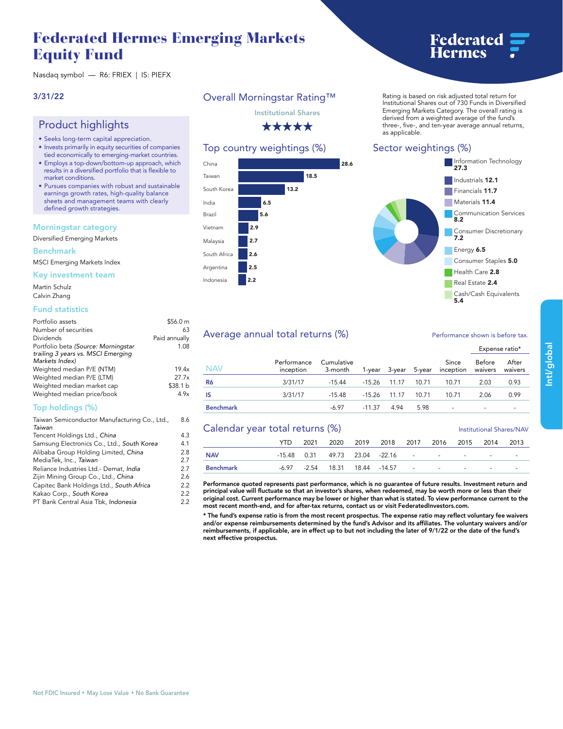## **Federated Hermes Emerging Markets Equity Fund**

# **Federated**<br>Hermes

**Nasdaq symbol — R6: FRIEX | IS: PIEFX**

### **3/31/22**

## **Product highlights**

- **Seeks long-term capital appreciation.**
- **Invests primarily in equity securities of companies tied economically to emerging-market countries.**
- **Employs a top-down/bottom-up approach, which results in a diversified portfolio that is flexible to market conditions.**
- **Pursues companies with robust and sustainable earnings growth rates, high-quality balance sheets and management teams with clearly defined growth strategies.**

#### **Morningstar category**

**Diversified Emerging Markets**

#### **Benchmark**

**MSCI Emerging Markets Index**

**Key investment team**

**Martin Schulz Calvin Zhang**

#### **Fund statistics**

| Portfolio assets                    | \$56.0 m      |
|-------------------------------------|---------------|
| Number of securities                | 63            |
| Dividends                           | Paid annually |
| Portfolio beta (Source: Morningstar | 1.08          |
| trailing 3 years vs. MSCI Emerging  |               |
| Markets Index)                      |               |
| Weighted median P/E (NTM)           | 19.4x         |
| Weighted median P/E (LTM)           | 27.7x         |
| Weighted median market cap          | \$38.1 b      |
| Weighted median price/book          | 4.9x          |

**8.6**

#### **Top holdings (%)**

| Taiwan Semiconductor Manufacturing Co., Ltd., |     |  |  |  |  |
|-----------------------------------------------|-----|--|--|--|--|
| Taiwan                                        |     |  |  |  |  |
| Tencent Holdings Ltd., China                  | 4.3 |  |  |  |  |
| Samsung Electronics Co., Ltd., South Korea    | 4.1 |  |  |  |  |
| Alibaba Group Holding Limited, China          | 2.8 |  |  |  |  |
| MediaTek, Inc., Taiwan                        | 2.7 |  |  |  |  |
| Reliance Industries Ltd.- Demat, India        | 2.7 |  |  |  |  |
| Zijin Mining Group Co., Ltd., China           | 2.6 |  |  |  |  |
| Capitec Bank Holdings Ltd., South Africa      | 2.2 |  |  |  |  |
| Kakao Corp., South Korea                      | 2.2 |  |  |  |  |
| PT Bank Central Asia Tbk, Indonesia           | 2.2 |  |  |  |  |
|                                               |     |  |  |  |  |

## **Overall Morningstar Rating™**

**Institutional Shares**

\*\*\*\*\*

## **Top country weightings (%)**



**Rating is based on risk adjusted total return for Institutional Shares out of 730 Funds in Diversified Emerging Markets Category. The overall rating is derived from a weighted average of the fund's three-, five-, and ten-year average annual returns, as applicable.**

## **Sector weightings (%)**



## Average annual total returns (%) *Performance shown is before tax.*

|                  |                          |                       |          |                      |      |                            | <b>LAPCISCIUTE</b>       |                  |
|------------------|--------------------------|-----------------------|----------|----------------------|------|----------------------------|--------------------------|------------------|
| NAV              | Performance<br>inception | Cumulative<br>3-month |          | 1-year 3-year 5-year |      | Since<br>inception waivers | Before                   | After<br>waivers |
| R6               | 3/31/17                  | -15.44                |          | -15.26 11.17 10.71   |      | 10.71                      | 2.03                     | 0.93             |
| IS               | 3/31/17                  | -15.48                |          | $-15.26$ 11.17 10.71 |      | 10.71                      | 2.06                     | 0.99             |
| <b>Benchmark</b> |                          | -6.97                 | $-11.37$ | 4.94                 | 5.98 | $\overline{\phantom{a}}$   | $\overline{\phantom{0}}$ |                  |

| Calendar year total returns (%) |      |  |  |  |                                        |  | <b>Institutional Shares/NAV</b> |  |      |                          |
|---------------------------------|------|--|--|--|----------------------------------------|--|---------------------------------|--|------|--------------------------|
|                                 | YTD. |  |  |  | 2021 2020 2019 2018 2017 2016 2015     |  |                                 |  | 2014 | 2013                     |
| <b>NAV</b>                      |      |  |  |  | $-15.48$ 0.31 49.73 23.04 -22.16 - - - |  |                                 |  |      | $\overline{\phantom{0}}$ |
| Benchmark                       |      |  |  |  | -6.97 -2.54 18.31 18.44 -14.57         |  |                                 |  |      | -                        |

**Performance quoted represents past performance, which is no guarantee of future results. Investment return and principal value will fluctuate so that an investor's shares, when redeemed, may be worth more or less than their original cost. Current performance may be lower or higher than what is stated. To view performance current to the most recent month-end, and for after-tax returns, contact us or visit [FederatedInvestors.com.](www.federatedinvestors.com)**

**\* The fund's expense ratio is from the most recent prospectus. The expense ratio may reflect voluntary fee waivers and/or expense reimbursements determined by the fund's Advisor and its affiliates. The voluntary waivers and/or reimbursements, if applicable, are in effect up to but not including the later of 9/1/22 or the date of the fund's next effective prospectus.**

**Expense ratio\***